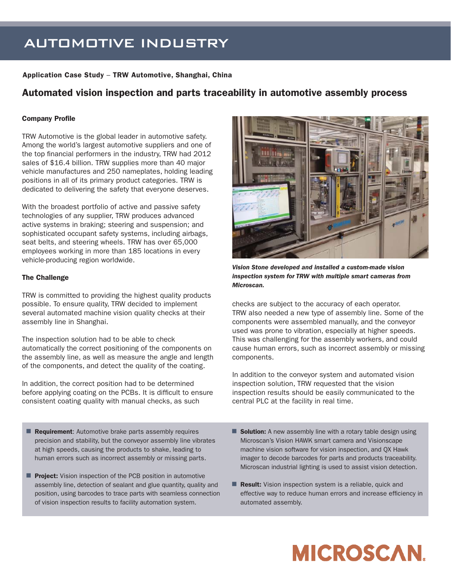## AUTOMOTIVE INDUSTRY

#### **Application Case Study** – **TRW Automotive, Shanghai, China**

### **Automated vision inspection and parts traceability in automotive assembly process**

#### **Company Profile**

TRW Automotive is the global leader in automotive safety. Among the world's largest automotive suppliers and one of the top financial performers in the industry, TRW had 2012 sales of \$16.4 billion. TRW supplies more than 40 major vehicle manufactures and 250 nameplates, holding leading positions in all of its primary product categories. TRW is dedicated to delivering the safety that everyone deserves.

With the broadest portfolio of active and passive safety technologies of any supplier, TRW produces advanced active systems in braking; steering and suspension; and sophisticated occupant safety systems, including airbags, seat belts, and steering wheels. TRW has over 65,000 employees working in more than 185 locations in every vehicle-producing region worldwide.

#### **The Challenge**

TRW is committed to providing the highest quality products possible. To ensure quality, TRW decided to implement several automated machine vision quality checks at their assembly line in Shanghai.

The inspection solution had to be able to check automatically the correct positioning of the components on the assembly line, as well as measure the angle and length of the components, and detect the quality of the coating.

In addition, the correct position had to be determined before applying coating on the PCBs. It is difficult to ensure consistent coating quality with manual checks, as such

- **Requirement:** Automotive brake parts assembly requires precision and stability, but the conveyor assembly line vibrates at high speeds, causing the products to shake, leading to human errors such as incorrect assembly or missing parts.
- **Project:** Vision inspection of the PCB position in automotive assembly line, detection of sealant and glue quantity, quality and position, using barcodes to trace parts with seamless connection of vision inspection results to facility automation system.



*Vision Stone developed and installed a custom-made vision inspection system for TRW with multiple smart cameras from Microscan.*

checks are subject to the accuracy of each operator. TRW also needed a new type of assembly line. Some of the components were assembled manually, and the conveyor used was prone to vibration, especially at higher speeds. This was challenging for the assembly workers, and could cause human errors, such as incorrect assembly or missing components.

In addition to the conveyor system and automated vision inspection solution, TRW requested that the vision inspection results should be easily communicated to the central PLC at the facility in real time.

- **Solution:** A new assembly line with a rotary table design using Microscan's Vision HAWK smart camera and Visionscape machine vision software for vision inspection, and QX Hawk imager to decode barcodes for parts and products traceability. Microscan industrial lighting is used to assist vision detection.
- **Result:** Vision inspection system is a reliable, quick and effective way to reduce human errors and increase efficiency in automated assembly.

# **MICROSCAN.**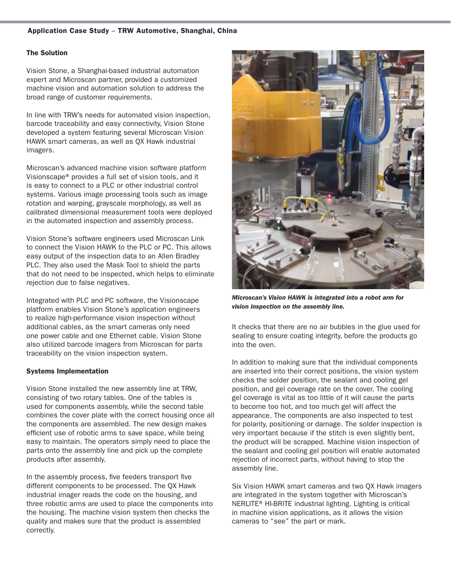#### **The Solution**

Vision Stone, a Shanghai-based industrial automation expert and Microscan partner, provided a customized machine vision and automation solution to address the broad range of customer requirements.

In line with TRW's needs for automated vision inspection, barcode traceability and easy connectivity, Vision Stone developed a system featuring several Microscan Vision HAWK smart cameras, as well as QX Hawk industrial imagers.

Microscan's advanced machine vision software platform Visionscape® provides a full set of vision tools, and it is easy to connect to a PLC or other industrial control systems. Various image processing tools such as image rotation and warping, grayscale morphology, as well as calibrated dimensional measurement tools were deployed in the automated inspection and assembly process.

Vision Stone's software engineers used Microscan Link to connect the Vision HAWK to the PLC or PC. This allows easy output of the inspection data to an Allen Bradley PLC. They also used the Mask Tool to shield the parts that do not need to be inspected, which helps to eliminate rejection due to false negatives.

Integrated with PLC and PC software, the Visionscape platform enables Vision Stone's application engineers to realize high-performance vision inspection without additional cables, as the smart cameras only need one power cable and one Ethernet cable. Vision Stone also utilized barcode imagers from Microscan for parts traceability on the vision inspection system.

#### **Systems Implementation**

Vision Stone installed the new assembly line at TRW, consisting of two rotary tables. One of the tables is used for components assembly, while the second table combines the cover plate with the correct housing once all the components are assembled. The new design makes efficient use of robotic arms to save space, while being easy to maintain. The operators simply need to place the parts onto the assembly line and pick up the complete products after assembly.

In the assembly process, five feeders transport five different components to be processed. The QX Hawk industrial imager reads the code on the housing, and three robotic arms are used to place the components into the housing. The machine vision system then checks the quality and makes sure that the product is assembled correctly.



*Microscan's Vision HAWK is integrated into a robot arm for vision inspection on the assembly line.*

It checks that there are no air bubbles in the glue used for sealing to ensure coating integrity, before the products go into the oven.

In addition to making sure that the individual components are inserted into their correct positions, the vision system checks the solder position, the sealant and cooling gel position, and gel coverage rate on the cover. The cooling gel coverage is vital as too little of it will cause the parts to become too hot, and too much gel will affect the appearance. The components are also inspected to test for polarity, positioning or damage. The solder inspection is very important because if the stitch is even slightly bent, the product will be scrapped. Machine vision inspection of the sealant and cooling gel position will enable automated rejection of incorrect parts, without having to stop the assembly line.

Six Vision HAWK smart cameras and two QX Hawk imagers are integrated in the system together with Microscan's NERLITE® HI-BRITE industrial lighting. Lighting is critical in machine vision applications, as it allows the vision cameras to "see" the part or mark.